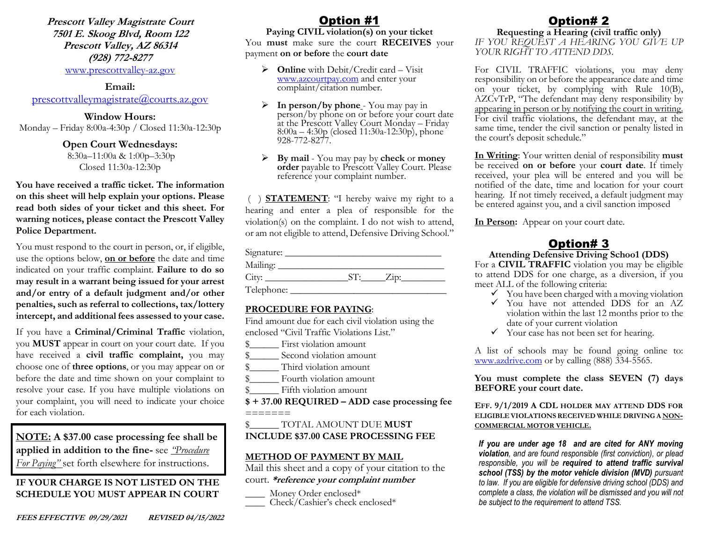Prescott Valley Magistrate Court 7501 E. Skoog Blvd, Room 122 Prescott Valley, AZ 86314 (928) 772-8277 www.prescottvalley-az.gov

#### Email:

prescottvalleymagistrate@courts.az.gov

### Window Hours:

Monday – Friday 8:00a-4:30p / Closed 11:30a-12:30p

### Open Court Wednesdays:

 8:30a–11:00a & 1:00p–3:30p Closed 11:30a-12:30p

You have received a traffic ticket. The information on this sheet will help explain your options. Please read both sides of your ticket and this sheet. For warning notices, please contact the Prescott Valley Police Department.

You must respond to the court in person, or, if eligible, use the options below, on or before the date and time indicated on your traffic complaint. Failure to do so may result in a warrant being issued for your arrest and/or entry of a default judgment and/or other penalties, such as referral to collections, tax/lottery intercept, and additional fees assessed to your case.

If you have a **Criminal/Criminal Traffic** violation, you MUST appear in court on your court date. If you have received a civil traffic complaint, you may choose one of three options, or you may appear on or before the date and time shown on your complaint to resolve your case. If you have multiple violations on your complaint, you will need to indicate your choice for each violation.

# NOTE: A \$37.00 case processing fee shall be applied in addition to the fine-see *'Procedure* For Paying" set forth elsewhere for instructions.

# IF YOUR CHARGE IS NOT LISTED ON THE SCHEDULE YOU MUST APPEAR IN COURT

Paying CIVIL violation(s) on your ticket You must make sure the court RECEIVES your payment on or before the court date

- $\triangleright$  Online with Debit/Credit card Visit www.azcourtpay.com and enter your complaint/citation number.
- $\triangleright$  In person/by phone You may pay in person/by phone on or before your court date at the Prescott Valley Court Monday – Friday 8:00a – 4:30p (closed 11:30a-12:30p), phone 928-772-8277.
- $\triangleright$  By mail You may pay by check or money order payable to Prescott Valley Court. Please reference your complaint number.

 ( ) STATEMENT: "I hereby waive my right to a hearing and enter a plea of responsible for the violation(s) on the complaint. I do not wish to attend, or am not eligible to attend, Defensive Driving School."

Signature:

| Mailing:   |         |  |
|------------|---------|--|
| City:      | $Zip$ : |  |
| Telephone: |         |  |

## PROCEDURE FOR PAYING:

Find amount due for each civil violation using the enclosed "Civil Traffic Violations List."

\$\_\_\_\_\_\_ First violation amount

\$\_\_\_\_\_\_ Second violation amount

\$\_\_\_\_\_\_ Third violation amount

\$\_\_\_\_\_\_ Fourth violation amount

Fifth violation amount

\$ + 37.00 REQUIRED – ADD case processing fee =======

## \$ TOTAL AMOUNT DUE MUST INCLUDE \$37.00 CASE PROCESSING FEE

#### METHOD OF PAYMENT BY MAIL

Mail this sheet and a copy of your citation to the court. \*reference your complaint number

Money Order enclosed\* \_\_\_\_ Check/Cashier's check enclosed\*

# Option# 2

Requesting a Hearing (civil traffic only) IF YOU REQUEST A HEARING YOU GIVE UP YOUR RIGHT TO ATTEND DDS.

For CIVIL TRAFFIC violations, you may deny responsibility on or before the appearance date and time on your ticket, by complying with Rule 10(B), AZCvTrP, "The defendant may deny responsibility by appearing in person or by notifying the court in writing. For civil traffic violations, the defendant may, at the same time, tender the civil sanction or penalty listed in the court's deposit schedule."

In Writing: Your written denial of responsibility must be received on or before your court date. If timely received, your plea will be entered and you will be notified of the date, time and location for your court hearing. If not timely received, a default judgment may be entered against you, and a civil sanction imposed

In Person: Appear on your court date.

# Option# 3

# Attending Defensive Driving Schoo1 (DDS)

For a CIVIL TRAFFIC violation you may be eligible to attend DDS for one charge, as a diversion, if you meet ALL of the following criteria:

- $\checkmark$  You have been charged with a moving violation
- You have not attended DDS for an AZ violation within the last 12 months prior to the date of your current violation
- $\checkmark$  Your case has not been set for hearing.

A list of schools may be found going online to: www.azdrive.com or by calling (888) 334-5565.

You must complete the class SEVEN (7) days BEFORE your court date.

EFF. 9/1/2019 A CDL HOLDER MAY ATTEND DDS FOR ELIGIBLE VIOLATIONS RECEIVED WHILE DRIVING A NON-COMMERCIAL MOTOR VEHICLE.

If you are under age 18 and are cited for ANY moving violation, and are found responsible (first conviction), or plead responsible, you will be required to attend traffic survival school (TSS) by the motor vehicle division (MVD) pursuant to law. If you are eligible for defensive driving school (DDS) and complete a class, the violation will be dismissed and you will not be subject to the requirement to attend TSS.